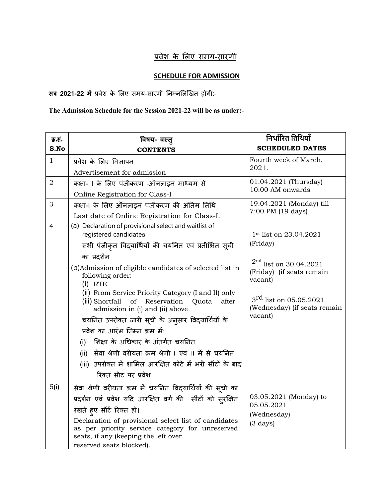## !वेश के 'लए समय-सारणी

## **SCHEDULE FOR ADMISSION**

**सत्र 2021-22 में** प्रवेश के लिए समय-सारणी निम्नलिखित होगी:-

**The Admission Schedule for the Session 2021-22 will be as under:-**

| क्र.सं.        | विषय- वस्त्                                                                                                                                                                 | निर्धारित तिथियाँ                                                  |
|----------------|-----------------------------------------------------------------------------------------------------------------------------------------------------------------------------|--------------------------------------------------------------------|
| S.No           | <b>CONTENTS</b>                                                                                                                                                             | <b>SCHEDULED DATES</b>                                             |
| $\mathbf{1}$   | प्रवेश के लिए विज्ञापन                                                                                                                                                      | Fourth week of March,<br>2021.                                     |
|                | Advertisement for admission                                                                                                                                                 |                                                                    |
| $\overline{2}$ | कक्षा- । के लिए पंजीकरण -ऑनलाइन माध्यम से                                                                                                                                   | 01.04.2021 (Thursday)<br>10:00 AM onwards                          |
|                | Online Registration for Class-I                                                                                                                                             |                                                                    |
| 3              | कक्षा-। के लिए ऑनलाइन पंजीकरण की अंतिम तिथि                                                                                                                                 | 19.04.2021 (Monday) till                                           |
|                | Last date of Online Registration for Class-I.                                                                                                                               | 7:00 PM (19 days)                                                  |
| 4              | (a) Declaration of provisional select and waitlist of<br>registered candidates<br>सभी पंजीकृत विद्यार्थियों की चयनित एवं प्रतीक्षित सूची                                    | 1st list on 23.04.2021<br>(Friday)                                 |
|                |                                                                                                                                                                             |                                                                    |
|                | का प्रदर्शन                                                                                                                                                                 | $^{2nd}$ list on 30.04.2021                                        |
|                | (b) Admission of eligible candidates of selected list in<br>following order:<br>$(i)$ RTE                                                                                   | (Friday) (if seats remain<br>vacant)                               |
|                | (ii) From Service Priority Category (I and II) only<br>(iii) Shortfall<br>of<br>Reservation<br>Quota<br>after<br>admission in (i) and (ii) above                            | $3^{\text{rd}}$ list on 05.05.2021<br>(Wednesday) (if seats remain |
|                | चयनित उपरोक्त जारी सूची के अनुसार विद्यार्थियों के                                                                                                                          | vacant)                                                            |
|                | प्रवेश का आरंभ निम्न क्रम में:                                                                                                                                              |                                                                    |
|                | (i) शिक्षा के अधिकार के अंतर्गत चयनित                                                                                                                                       |                                                                    |
|                | (ii) सेवा श्रेणी वरीयता क्रम श्रेणी । एवं ॥ में से चयनित                                                                                                                    |                                                                    |
|                | (iii) उपरोक्त में शामिल आरक्षित कोटे में भरी सींटों के बाद                                                                                                                  |                                                                    |
|                | रिक्त सीट पर प्रवेश                                                                                                                                                         |                                                                    |
| 5(i)           | सेवा श्रेणी वरीयता क्रम में चयनित विद्यार्थियों की सूची का                                                                                                                  | 03.05.2021 (Monday) to<br>05.05.2021                               |
|                | प्रदर्शन एवं प्रवेश यदि आरक्षित वर्ग की सींटों को सुरक्षित                                                                                                                  |                                                                    |
|                | रखते हुए सींटें रिक्त हो।                                                                                                                                                   |                                                                    |
|                | Declaration of provisional select list of candidates<br>as per priority service category for unreserved<br>seats, if any (keeping the left over<br>reserved seats blocked). | (Wednesday)<br>$(3 \text{ days})$                                  |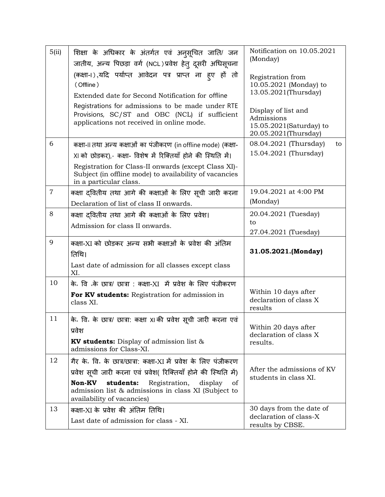| 5(ii)          | शिक्षा के अधिकार के अंतर्गत एवं अनुसूचित जाति/ जन<br>जातीय, अन्य पिछड़ा वर्ग (NCL)प्रवेश हेत् दूसरी अधिसूचना                                                                           | Notification on 10.05.2021<br>(Monday)                                               |
|----------------|----------------------------------------------------------------------------------------------------------------------------------------------------------------------------------------|--------------------------------------------------------------------------------------|
|                | (कक्षा-।),यदि पर्याप्त आवेदन पत्र प्राप्त ना हूए हों तो<br>(Offline)                                                                                                                   | Registration from<br>10.05.2021 (Monday) to<br>13.05.2021(Thursday)                  |
|                | Extended date for Second Notification for offline<br>Registrations for admissions to be made under RTE                                                                                 |                                                                                      |
|                | Provisions, SC/ST and OBC (NCL) if sufficient<br>applications not received in online mode.                                                                                             | Display of list and<br>Admissions<br>15.05.2021(Saturday) to<br>20.05.2021(Thursday) |
| 6              | कक्षा-II तथा अन्य कक्षाओं का पंजीकरण (in offline mode) (कक्षा-                                                                                                                         | 08.04.2021 (Thursday)<br>to                                                          |
|                | XI को छोड़कर),- कक्षा- विशेष में रिक्तियाँ होने की स्थिति में।                                                                                                                         | 15.04.2021 (Thursday)                                                                |
|                | Registration for Class-II onwards (except Class XI)-<br>Subject (in offline mode) to availability of vacancies<br>in a particular class.                                               |                                                                                      |
| $\overline{7}$ | कक्षा दवितीय तथा आगे की कक्षाओं के लिए सूची जारी करना                                                                                                                                  | 19.04.2021 at 4:00 PM                                                                |
|                | Declaration of list of class II onwards.                                                                                                                                               | (Monday)                                                                             |
| 8              | कक्षा दवितीय तथा आगे की कक्षाओं के लिए प्रवेश।                                                                                                                                         | 20.04.2021 (Tuesday)                                                                 |
|                | Admission for class II onwards.                                                                                                                                                        | to<br>27.04.2021 (Tuesday)                                                           |
|                |                                                                                                                                                                                        |                                                                                      |
| 9              | कक्षा-XI को छोड़कर अन्य सभी कक्षाओं के प्रवेश की अंतिम<br>तिथि।                                                                                                                        | 31.05.2021.(Monday)                                                                  |
|                | Last date of admission for all classes except class<br>XI.                                                                                                                             |                                                                                      |
| 10             | के. वि <sup>8</sup> के छात्र/ छात्रा : कक्षा-XI में प्रवेश के लिए पंजीकरण                                                                                                              |                                                                                      |
|                | For KV students: Registration for admission in<br>class XI.                                                                                                                            | Within 10 days after<br>declaration of class X<br>results                            |
| 11             | के. वि. के छात्र/ छात्रा: कक्षा XI की प्रवेश सूची जारी करना एवं                                                                                                                        |                                                                                      |
|                | प्रवेश                                                                                                                                                                                 | Within 20 days after                                                                 |
|                | <b>KV students:</b> Display of admission list $\&$<br>admissions for Class-XI.                                                                                                         | declaration of class X<br>results.                                                   |
| 12             | गैर के. वि. के छात्र/छात्रा: कक्षा-XI में प्रवेश के लिए पंजीकरण                                                                                                                        |                                                                                      |
|                | प्रवेश सूची जारी करना एवं प्रवेश( रिक्तियाँ होने की स्थिति में)<br><b>Non-KV</b><br>students:<br>Registration,<br>display<br>0t<br>admission list & admissions in class XI (Subject to | After the admissions of KV<br>students in class XI.                                  |
| 13             | availability of vacancies)<br>कक्षा-XI के प्रवेश की अंतिम तिथि।                                                                                                                        | 30 days from the date of                                                             |